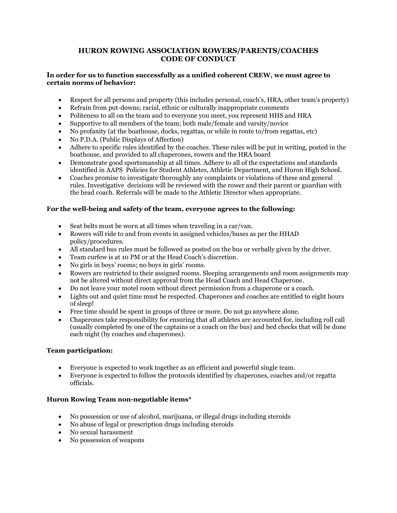# **HURON ROWING ASSOCIATION ROWERS/PARENTS/COACHES CODE OF CONDUCT**

#### **In order for us to function successfully as a unified coherent CREW, we must agree to certain norms of behavior:**

- Respect for all persons and property (this includes personal, coach's, HRA, other team's property)
- Refrain from put-downs; racial, ethnic or culturally inappropriate comments
- Politeness to all on the team and to everyone you meet, you represent HHS and HRA
- Supportive to all members of the team; both male/female and varsity/novice
- No profanity (at the boathouse, docks, regattas, or while in route to/from regattas, etc)
- No P.D.A. (Public Displays of Affection)
- Adhere to specific rules identified by the coaches. These rules will be put in writing, posted in the boathouse, and provided to all chaperones, rowers and the HRA board
- Demonstrate good sportsmanship at all times. Adhere to all of the expectations and standards identified in AAPS Policies for Student Athletes, Athletic Department, and Huron High School.
- Coaches promise to investigate thoroughly any complaints or violations of these and general rules. Investigative decisions will be reviewed with the rower and their parent or guardian with the head coach. Referrals will be made to the Athletic Director when appropriate.

## **For the well-being and safety of the team, everyone agrees to the following:**

- Seat belts must be worn at all times when traveling in a car/van.
- Rowers will ride to and from events in assigned vehicles/buses as per the HHAD policy/procedures.
- All standard bus rules must be followed as posted on the bus or verbally given by the driver.
- Team curfew is at 10 PM or at the Head Coach's discretion.
- No girls in boys' rooms; no boys in girls' rooms.
- Rowers are restricted to their assigned rooms. Sleeping arrangements and room assignments may not be altered without direct approval from the Head Coach and Head Chaperone.
- Do not leave your motel room without direct permission from a chaperone or a coach.
- Lights out and quiet time must be respected. Chaperones and coaches are entitled to eight hours of sleep!
- Free time should be spent in groups of three or more. Do not go anywhere alone.
- Chaperones take responsibility for ensuring that all athletes are accounted for, including roll call (usually completed by one of the captains or a coach on the bus) and bed checks that will be done each night (by coaches and chaperones).

### **Team participation:**

- Everyone is expected to work together as an efficient and powerful single team.
- Everyone is expected to follow the protocols identified by chaperones, coaches and/or regatta officials.

### **Huron Rowing Team non-negotiable items\***

- No possession or use of alcohol, marijuana, or illegal drugs including steroids
- No abuse of legal or prescription drugs including steroids
- No sexual harassment
- No possession of weapons